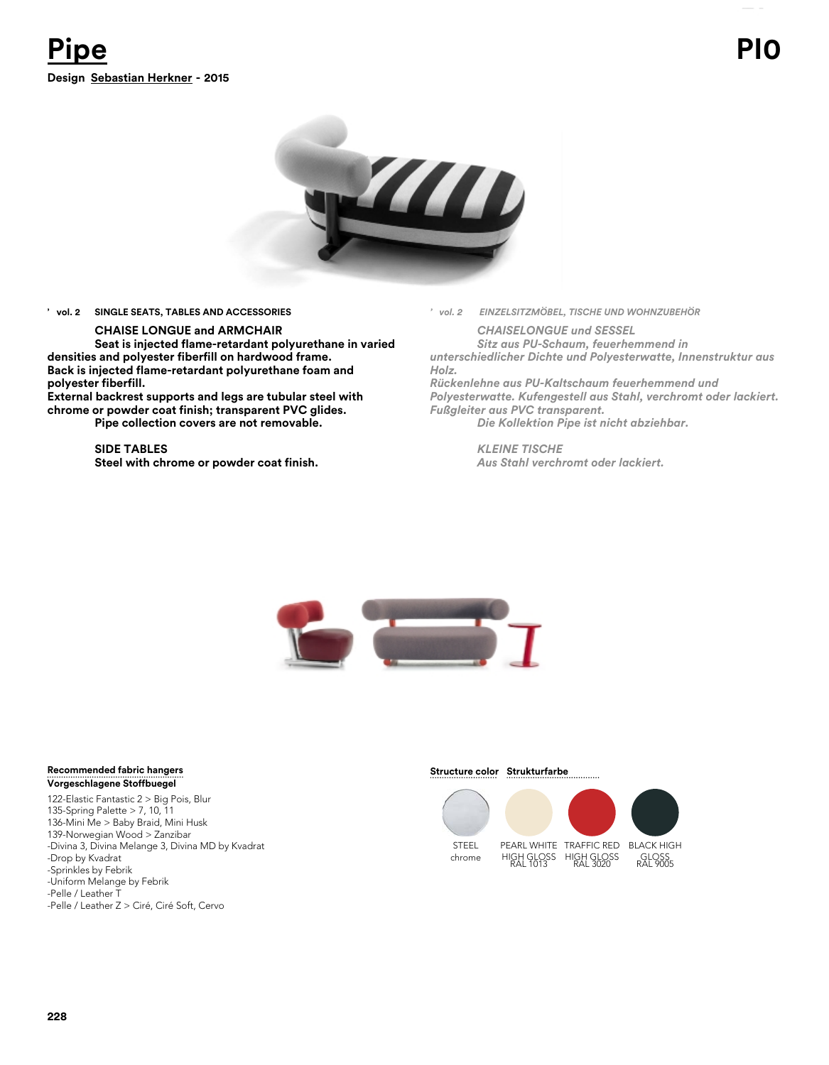

## **' vol. 2 SINGLE SEATS, TABLES AND ACCESSORIES**

## **CHAISE LONGUE and ARMCHAIR**

**Seat is injected flame-retardant polyurethane in varied densities and polyester fiberfill on hardwood frame. Back is injected flame-retardant polyurethane foam and polyester fiberfill.** 

**External backrest supports and legs are tubular steel with chrome or powder coat finish; transparent PVC glides. Pipe collection covers are not removable.**

> **SIDE TABLES Steel with chrome or powder coat finish.**

*' vol. 2 EINZELSITZMÖBEL, TISCHE UND WOHNZUBEHÖR*

*CHAISELONGUE und SESSEL Sitz aus PU-Schaum, feuerhemmend in unterschiedlicher Dichte und Polyesterwatte, Innenstruktur aus*

*Holz. Rückenlehne aus PU-Kaltschaum feuerhemmend und Polyesterwatte. Kufengestell aus Stahl, verchromt oder lackiert. Fußgleiter aus PVC transparent.*

*Die Kollektion Pipe ist nicht abziehbar.*

*KLEINE TISCHE Aus Stahl verchromt oder lackiert.*



## **Recommended fabric hangers Vorgeschlagene Stoffbuegel**

122-Elastic Fantastic 2 > Big Pois, Blur 135-Spring Palette > 7, 10, 11 136-Mini Me > Baby Braid, Mini Husk 139-Norwegian Wood > Zanzibar -Divina 3, Divina Melange 3, Divina MD by Kvadrat -Drop by Kvadrat -Sprinkles by Febrik -Uniform Melange by Febrik -Pelle / Leather T -Pelle / Leather Z > Ciré, Ciré Soft, Cervo

**Structure color Strukturfarbe** 

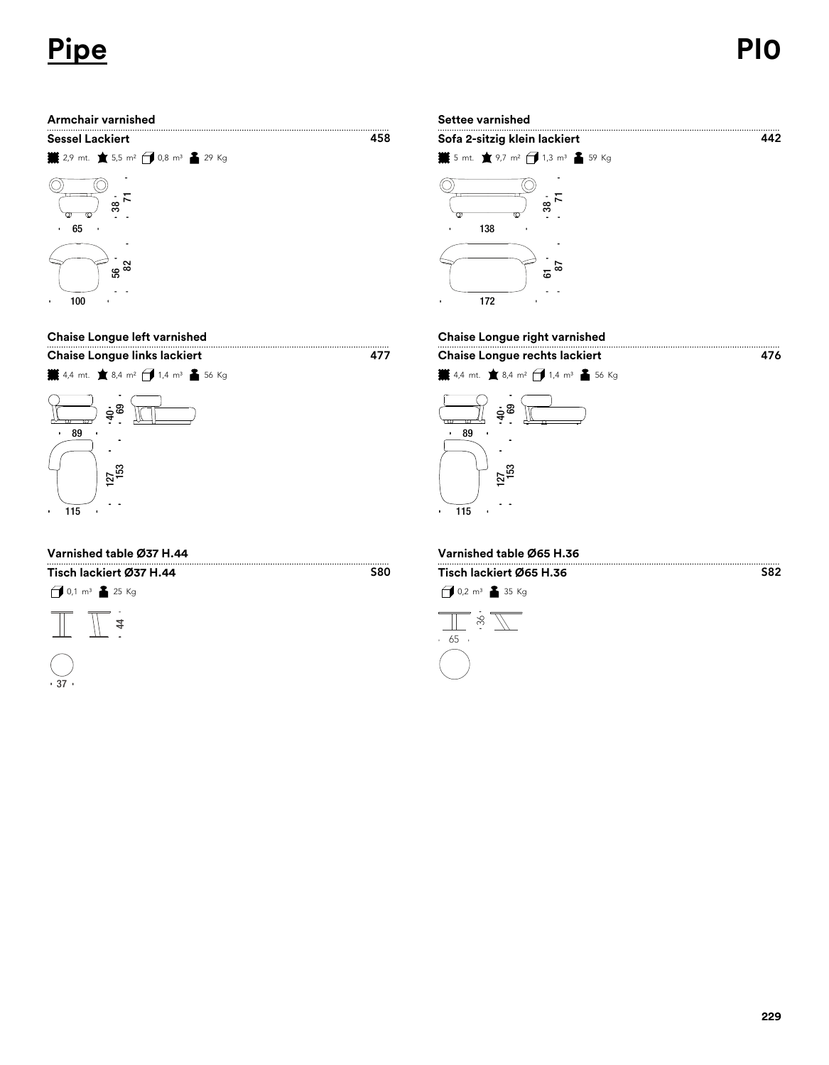# **Pipe PI0**





## **Varnished table Ø37 H.44 Varnished table Ø65 H.36**

 $1 \text{ m}^3$   $25 \text{ Kg}$ **Tisch lackiert Ø37 H.44 Tisch lackiert Ø65 H.36**





## **Chaise Longue left varnished Chaise Longue right varnished**

S80



 $\overline{a}$  $\ddot{\phantom{a}}$ 





S82